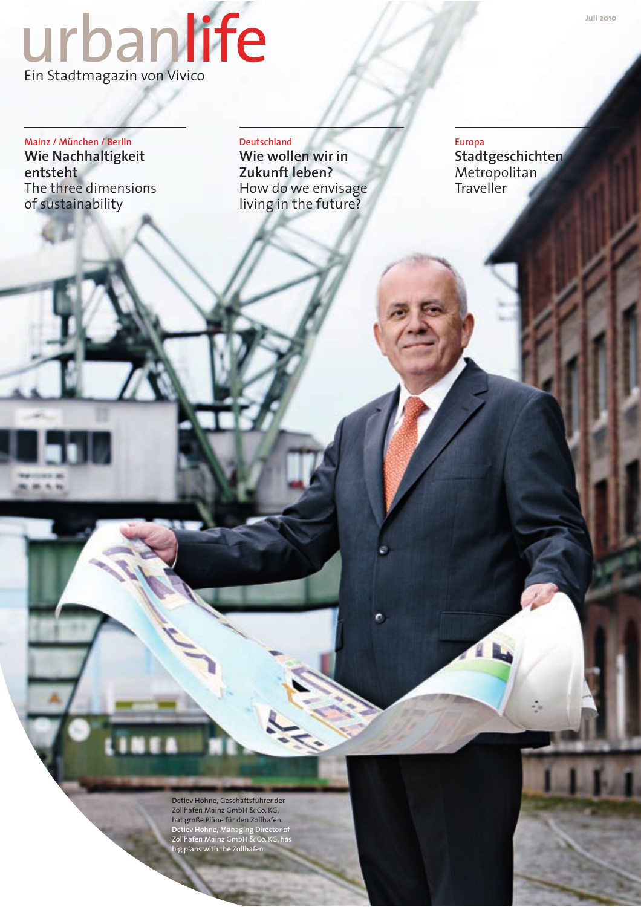# Lirbanlife

Mainz / München / Berlin Wie Nachhaltigkeit entsteht The three dimensions of sustainability

Deutschland Wie wollen wir in Zukunft leben? How do we envisage living in the future?

**Europa Stadtgeschichten** Metropolitan Traveller

Detlev Höhne, Geschäftsführer der Zollhafen Mainz GmbH & Co. KG, hat große Pläne für den Zollhafen. Detlev Höhne, Managing Director of<br>Zollhafen Mainz GmbH & Co. KG, has<br>big plans with the Zollhafen.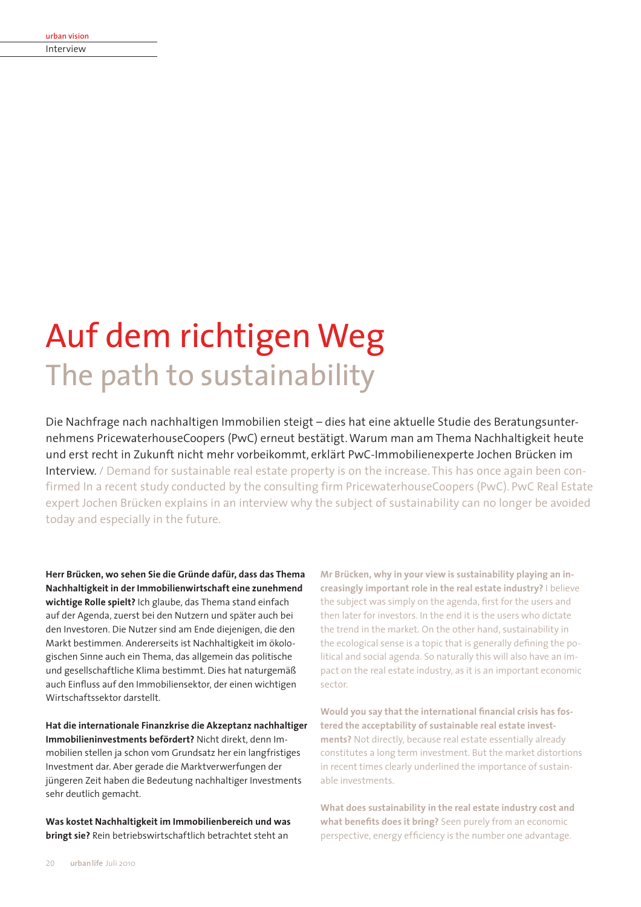| urban vision |  |
|--------------|--|
| Interview    |  |
|              |  |

# Auf dem richtigen Weg The path to sustainability

Die Nachfrage nach nachhaltigen Immobilien steigt - dies hat eine aktuelle Studie des Beratungsunternehmens PricewaterhouseCoopers (PwC) erneut bestätigt. Warum man am Thema Nachhaltigkeit heute und erst recht in Zukunft nicht mehr vorbeikommt, erklärt PwC-Immobilienexperte Jochen Brücken im Interview. / Demand for sustainable real estate property is on the increase. This has once again been confirmed In a recent study conducted by the consulting firm PricewaterhouseCoopers (PwC). PwC Real Estate expert Jochen Brücken explains in an interview why the subject of sustainability can no longer be avoided today and especially in the future.

Herr Brücken, wo sehen Sie die Gründe dafür, dass das Thema Nachhaltigkeit in der Immobilienwirtschaft eine zunehmend wichtige Rolle spielt? Ich glaube, das Thema stand einfach auf der Agenda, zuerst bei den Nutzern und später auch bei den Investoren. Die Nutzer sind am Ende diejenigen, die den Markt bestimmen. Andererseits ist Nachhaltigkeit im ökologischen Sinne auch ein Thema, das allgemein das politische und gesellschaftliche Klima bestimmt. Dies hat naturgemäß auch Einfluss auf den Immobiliensektor, der einen wichtigen Wirtschaftssektor darstellt.

Hat die internationale Finanzkrise die Akzeptanz nachhaltiger Immobilieninvestments befördert? Nicht direkt, denn Immobilien stellen ia schon vom Grundsatz her ein langfristiges Investment dar. Aber gerade die Marktverwerfungen der jüngeren Zeit haben die Bedeutung nachhaltiger Investments sehr deutlich gemacht.

Was kostet Nachhaltigkeit im Immobilienbereich und was bringt sie? Rein betriebswirtschaftlich betrachtet steht an

Mr Brücken, why in your view is sustainability playing an increasingly important role in the real estate industry? I believe the subiect was simply on the agenda, first for the users and then later for investors. In the end it is the users who dictate the trend in the market. On the other hand, sustainability in the ecological sense is a topic that is generally defining the political and social agenda. So naturally this will also have an impact on the real estate industry, as it is an important economic sector.

Would you say that the international financial crisis has fostered the acceptability of sustainable real estate investments? Not directly, because real estate essentially already constitutes a long term investment. But the market distortions in recent times clearly underlined the importance of sustainable investments.

What does sustainability in the real estate industry cost and what benefits does it bring? Seen purely from an economic perspective, energy efficiency is the number one advantage.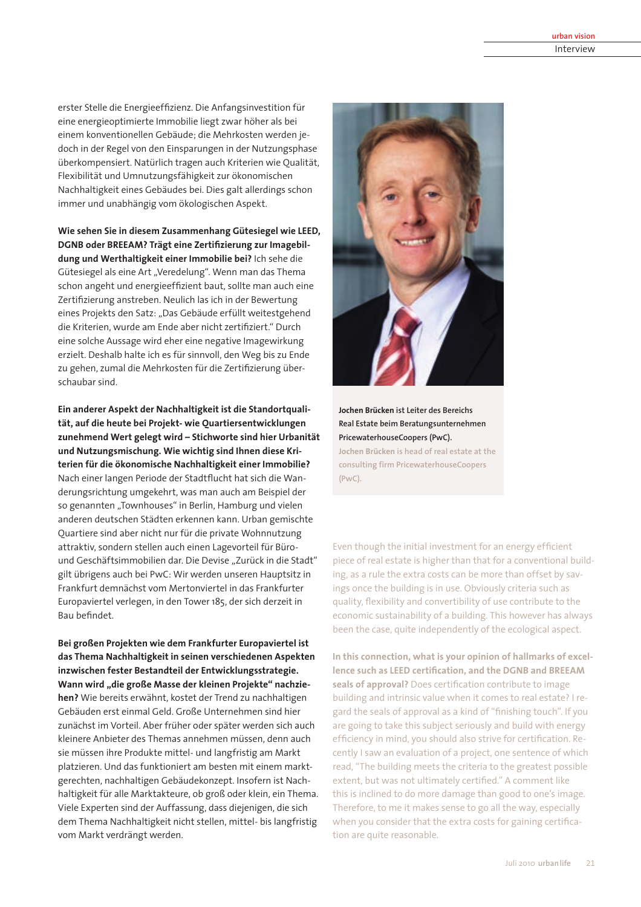erster Stelle die Energieeffizienz. Die Anfangsinvestition für eine energieoptimierte Immobilie liegt zwar höher als bei einem konventionellen Gebäude; die Mehrkosten werden jedoch in der Regel von den Einsparungen in der Nutzungsphase überkompensiert. Natürlich tragen auch Kriterien wie Qualität. Flexibilität und Umnutzungsfähigkeit zur ökonomischen Nachhaltigkeit eines Gebäudes bei. Dies galt allerdings schon immer und unabhängig vom ökologischen Aspekt.

Wie sehen Sie in diesem Zusammenhang Gütesiegel wie LEED, DGNB oder BREEAM? Trägt eine Zertifizierung zur Imagebildung und Werthaltigkeit einer Immobilie bei? Ich sehe die Gütesiegel als eine Art "Veredelung". Wenn man das Thema schon angeht und energieeffizient baut, sollte man auch eine Zertifizierung anstreben. Neulich las ich in der Bewertung eines Projekts den Satz: "Das Gebäude erfüllt weitestgehend die Kriterien, wurde am Ende aber nicht zertifiziert." Durch eine solche Aussage wird eher eine negative Imagewirkung erzielt. Deshalb halte ich es für sinnvoll, den Weg bis zu Ende zu gehen, zumal die Mehrkosten für die Zertifizierung überschaubar sind.

Ein anderer Aspekt der Nachhaltigkeit ist die Standortqualität, auf die heute bei Proiekt- wie Ouartiersentwicklungen zunehmend Wert gelegt wird - Stichworte sind hier Urbanität und Nutzungsmischung. Wie wichtig sind Ihnen diese Kriterien für die ökonomische Nachhaltigkeit einer Immobilie? Nach einer langen Periode der Stadtflucht hat sich die Wanderungsrichtung umgekehrt, was man auch am Beispiel der so genannten "Townhouses" in Berlin, Hamburg und vielen anderen deutschen Städten erkennen kann. Urban gemischte Quartiere sind aber nicht nur für die private Wohnnutzung attraktiv, sondern stellen auch einen Lagevorteil für Büround Geschäftsimmobilien dar. Die Devise "Zurück in die Stadt" gilt übrigens auch bei PwC: Wir werden unseren Hauptsitz in Frankfurt demnächst vom Mertonviertel in das Frankfurter Europaviertel verlegen, in den Tower 185, der sich derzeit in Bau befindet.

Bei großen Projekten wie dem Frankfurter Europaviertel ist das Thema Nachhaltigkeit in seinen verschiedenen Aspekten inzwischen fester Bestandteil der Entwicklungsstrategie. Wann wird "die große Masse der kleinen Projekte" nachziehen? Wie bereits erwähnt, kostet der Trend zu nachhaltigen Gebäuden erst einmal Geld. Große Unternehmen sind hier zunächst im Vorteil. Aber früher oder später werden sich auch kleinere Anbieter des Themas annehmen müssen, denn auch sie müssen ihre Produkte mittel- und langfristig am Markt platzieren. Und das funktioniert am besten mit einem marktgerechten, nachhaltigen Gebäudekonzept. Insofern ist Nachhaltigkeit für alle Marktakteure, ob groß oder klein, ein Thema. Viele Experten sind der Auffassung, dass diejenigen, die sich dem Thema Nachhaltigkeit nicht stellen, mittel- bis langfristig vom Markt verdrängt werden.



Jochen Brücken ist Leiter des Bereichs Real Estate beim Beratungsunternehmen PricewaterhouseCoopers (PwC).

Jochen Brücken is head of real estate at the consulting firm PricewaterhouseCoopers  $(PWC)$ .

Even though the initial investment for an energy efficient piece of real estate is higher than that for a conventional building, as a rule the extra costs can be more than offset by sayings once the building is in use. Obviously criteria such as quality, flexibility and convertibility of use contribute to the economic sustainability of a building. This however has always been the case, quite independently of the ecological aspect.

In this connection, what is your opinion of hallmarks of excellence such as LEED certification, and the DGNB and BREEAM seals of approval? Does certification contribute to image building and intrinsic value when it comes to real estate? I regard the seals of approval as a kind of "finishing touch". If you are going to take this subject seriously and build with energy efficiency in mind, you should also strive for certification. Recently I saw an evaluation of a project, one sentence of which read, "The building meets the criteria to the greatest possible extent, but was not ultimately certified." A comment like this is inclined to do more damage than good to one's image. Therefore, to me it makes sense to go all the way, especially when you consider that the extra costs for gaining certification are quite reasonable.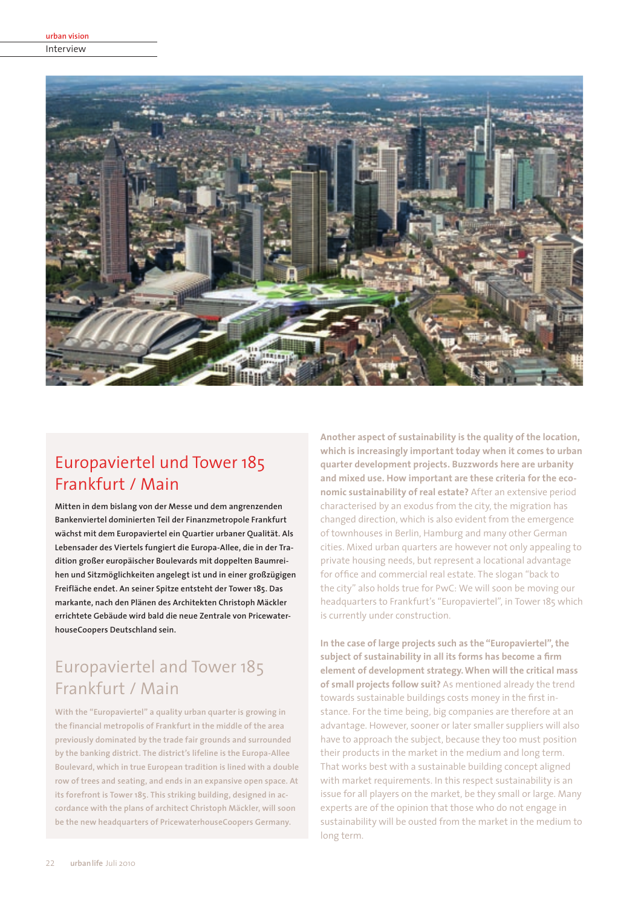Interview



## Europaviertel und Tower 185 Frankfurt / Main

Mitten in dem bislang von der Messe und dem angrenzenden Bankenviertel dominierten Teil der Finanzmetropole Frankfurt wächst mit dem Europaviertel ein Quartier urbaner Qualität. Als Lebensader des Viertels fungiert die Europa-Allee, die in der Tradition großer europäischer Boulevards mit doppelten Baumreihen und Sitzmöglichkeiten angelegt ist und in einer großzügigen Freifläche endet. An seiner Spitze entsteht der Tower 185. Das markante, nach den Plänen des Architekten Christoph Mäckler errichtete Gebäude wird bald die neue Zentrale von PricewaterhouseCoopers Deutschland sein.

## Europaviertel and Tower 185 Frankfurt / Main

With the "Europaviertel" a quality urban quarter is growing in the financial metropolis of Frankfurt in the middle of the area previously dominated by the trade fair grounds and surrounded by the banking district. The district's lifeline is the Europa-Allee Boulevard, which in true European tradition is lined with a double row of trees and seating, and ends in an expansive open space. At its forefront is Tower 185. This striking building, designed in accordance with the plans of architect Christoph Mäckler, will soon be the new headquarters of PricewaterhouseCoopers Germany.

Another aspect of sustainability is the quality of the location, which is increasingly important today when it comes to urban quarter development projects. Buzzwords here are urbanity and mixed use. How important are these criteria for the economic sustainability of real estate? After an extensive period characterised by an exodus from the city, the migration has changed direction, which is also evident from the emergence of townhouses in Berlin, Hamburg and many other German cities. Mixed urban quarters are however not only appealing to private housing needs, but represent a locational advantage for office and commercial real estate. The slogan "back to the city" also holds true for PwC: We will soon be moving our headquarters to Frankfurt's "Europaviertel", in Tower 185 which is currently under construction.

In the case of large projects such as the "Europaviertel", the subiect of sustainability in all its forms has become a firm element of development strategy. When will the critical mass of small projects follow suit? As mentioned already the trend towards sustainable buildings costs money in the first instance. For the time being, big companies are therefore at an advantage. However, sooner or later smaller suppliers will also have to approach the subject, because they too must position their products in the market in the medium and long term. That works best with a sustainable building concept aligned with market requirements. In this respect sustainability is an issue for all players on the market, be they small or large. Many experts are of the opinion that those who do not engage in sustainability will be ousted from the market in the medium to long term.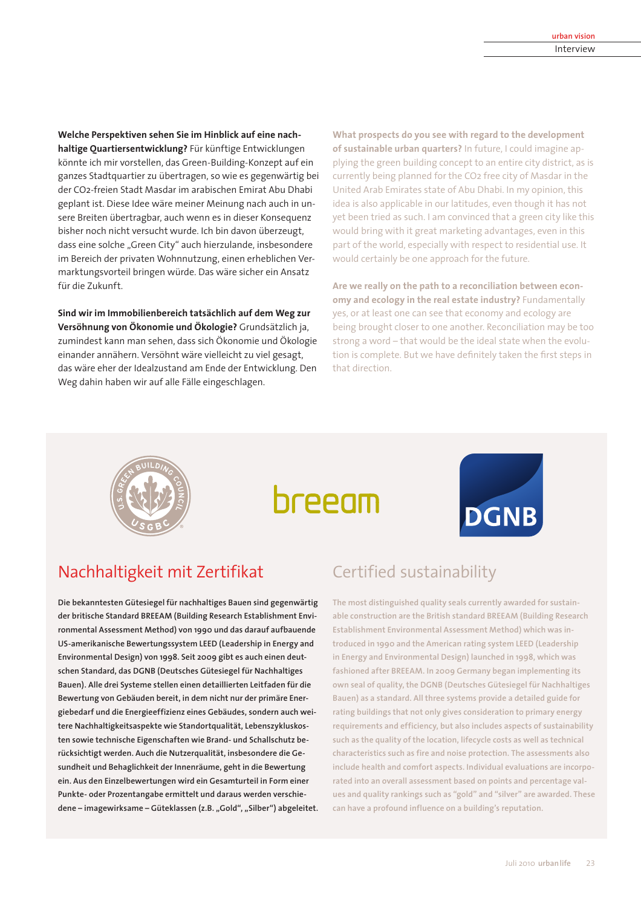Welche Perspektiven sehen Sie im Hinblick auf eine nachhaltige Ouartiersentwicklung? Für künftige Entwicklungen könnte ich mir vorstellen, das Green-Building-Konzept auf ein ganzes Stadtquartier zu übertragen, so wie es gegenwärtig bei der CO2-freien Stadt Masdar im arabischen Emirat Abu Dhabi geplant ist. Diese Idee wäre meiner Meinung nach auch in unsere Breiten übertragbar, auch wenn es in dieser Konsequenz bisher noch nicht versucht wurde. Ich bin davon überzeugt. dass eine solche "Green City" auch hierzulande, insbesondere im Bereich der privaten Wohnnutzung, einen erheblichen Vermarktungsvorteil bringen würde. Das wäre sicher ein Ansatz für die Zukunft.

Sind wir im Immobilienbereich tatsächlich auf dem Weg zur Versöhnung von Ökonomie und Ökologie? Grundsätzlich ja. zumindest kann man sehen, dass sich Ökonomie und Ökologie einander annähern. Versöhnt wäre vielleicht zu viel gesagt, das wäre eher der Idealzustand am Ende der Entwicklung. Den Weg dahin haben wir auf alle Fälle eingeschlagen.

What prospects do you see with regard to the development of sustainable urban quarters? In future, I could imagine applying the green building concept to an entire city district, as is currently being planned for the CO2 free city of Masdar in the United Arab Emirates state of Abu Dhabi. In my opinion, this idea is also applicable in our latitudes, even though it has not yet been tried as such. I am convinced that a green city like this would bring with it great marketing advantages, even in this part of the world, especially with respect to residential use. It would certainly be one approach for the future.

Are we really on the path to a reconciliation between economy and ecology in the real estate industry? Fundamentally yes, or at least one can see that economy and ecology are being brought closer to one another. Reconciliation may be too strong a word - that would be the ideal state when the evolution is complete. But we have definitely taken the first steps in that direction.



# breeam



## Nachhaltigkeit mit Zertifikat

Die bekanntesten Gütesiegel für nachhaltiges Bauen sind gegenwärtig der britische Standard BREEAM (Building Research Establishment Environmental Assessment Method) von 1990 und das darauf aufbauende US-amerikanische Bewertungssystem LEED (Leadership in Energy and Environmental Design) von 1998. Seit 2009 gibt es auch einen deutschen Standard, das DGNB (Deutsches Gütesiegel für Nachhaltiges Bauen). Alle drei Systeme stellen einen detaillierten Leitfaden für die Bewertung von Gebäuden bereit, in dem nicht nur der primäre Energiebedarf und die Energieeffizienz eines Gebäudes, sondern auch weitere Nachhaltigkeitsaspekte wie Standortqualität, Lebenszykluskosten sowie technische Eigenschaften wie Brand- und Schallschutz berücksichtigt werden. Auch die Nutzergualität, insbesondere die Gesundheit und Behaglichkeit der Innenräume, geht in die Bewertung ein. Aus den Einzelbewertungen wird ein Gesamturteil in Form einer Punkte- oder Prozentangabe ermittelt und daraus werden verschiedene – imagewirksame – Güteklassen (z.B. "Gold", "Silber") abgeleitet.

## Certified sustainability

The most distinguished quality seals currently awarded for sustainable construction are the British standard BREEAM (Building Research Establishment Environmental Assessment Method) which was introduced in 1990 and the American rating system LEED (Leadership in Energy and Environmental Design) launched in 1998, which was fashioned after BREEAM. In 2009 Germany began implementing its own seal of quality, the DGNB (Deutsches Gütesiegel für Nachhaltiges Bauen) as a standard. All three systems provide a detailed guide for rating buildings that not only gives consideration to primary energy requirements and efficiency, but also includes aspects of sustainability such as the quality of the location, lifecycle costs as well as technical characteristics such as fire and noise protection. The assessments also include health and comfort aspects. Individual evaluations are incorporated into an overall assessment based on points and percentage values and quality rankings such as "gold" and "silver" are awarded. These can have a profound influence on a building's reputation.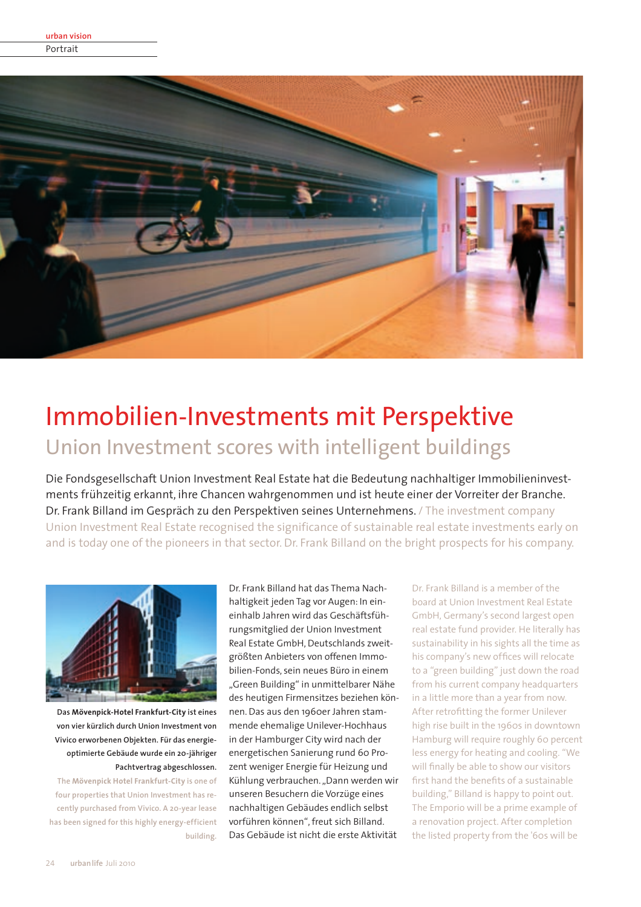

# Immobilien-Investments mit Perspektive Union Investment scores with intelligent buildings

Die Fondsgesellschaft Union Investment Real Estate hat die Bedeutung nachhaltiger Immobilieninvestments frühzeitig erkannt, ihre Chancen wahrgenommen und ist heute einer der Vorreiter der Branche. Dr. Frank Billand im Gespräch zu den Perspektiven seines Unternehmens. / The investment company Union Investment Real Estate recognised the significance of sustainable real estate investments early on and is today one of the pioneers in that sector. Dr. Frank Billand on the bright prospects for his company.



Das Mövenpick-Hotel Frankfurt-City ist eines von vier kürzlich durch Union Investment von Vivico erworbenen Obiekten. Für das energieoptimierte Gebäude wurde ein 20-jähriger Pachtvertrag abgeschlossen.

The Mövenpick Hotel Frankfurt-City is one of four properties that Union Investment has recently purchased from Vivico. A 20-year lease has been signed for this highly energy-efficient building.

Dr Frank Billand hat das Thema Nachhaltigkeit jeden Tag vor Augen: In eineinhalb Jahren wird das Geschäftsführungsmitglied der Union Investment Real Estate GmbH, Deutschlands zweitgrößten Anbieters von offenen Immobilien-Fonds, sein neues Büro in einem "Green Building" in unmittelbarer Nähe des heutigen Firmensitzes beziehen können. Das aus den 1960er Jahren stammende ehemalige Unilever-Hochhaus in der Hamburger City wird nach der energetischen Sanierung rund 60 Prozent weniger Energie für Heizung und Kühlung verbrauchen. "Dann werden wir unseren Besuchern die Vorzüge eines nachhaltigen Gebäudes endlich selbst vorführen können", freut sich Billand. Das Gebäude ist nicht die erste Aktivität

Dr. Frank Billand is a member of the board at Union Investment Real Estate GmbH, Germany's second largest open real estate fund provider. He literally has sustainability in his sights all the time as his company's new offices will relocate to a "green building" just down the road from his current company headquarters in a little more than a year from now. After retrofitting the former Unilever high rise built in the 1960s in downtown Hamburg will require roughly 60 percent less energy for heating and cooling. "We will finally be able to show our visitors first hand the benefits of a sustainable building," Billand is happy to point out. The Emporio will be a prime example of a renovation project. After completion the listed property from the '60s will be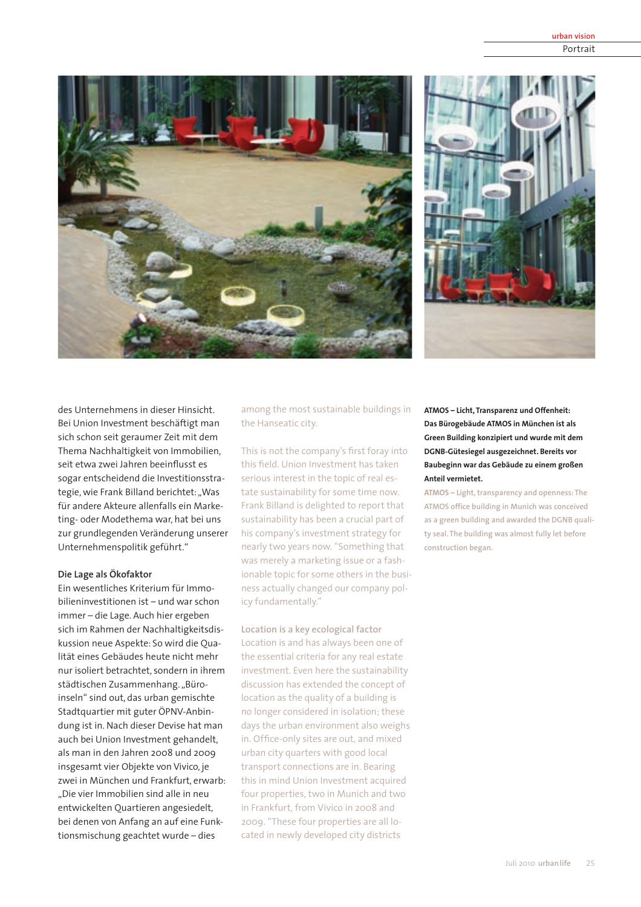



des Unternehmens in dieser Hinsicht. Bei Union Investment beschäftigt man sich schon seit geraumer Zeit mit dem Thema Nachhaltigkeit von Immobilien. seit etwa zwei Jahren beeinflusst es sogar entscheidend die Investitionsstrategie, wie Frank Billand berichtet: "Was für andere Akteure allenfalls ein Marketing- oder Modethema war, hat bei uns zur grundlegenden Veränderung unserer Unternehmenspolitik geführt."

### Die Lage als Ökofaktor

Ein wesentliches Kriterium für Immobilieninvestitionen ist - und war schon immer - die Lage. Auch hier ergeben sich im Rahmen der Nachhaltigkeitsdiskussion neue Aspekte: So wird die Qualität eines Gebäudes heute nicht mehr nur isoliert betrachtet, sondern in ihrem städtischen Zusammenhang."Büroinseln" sind out, das urban gemischte Stadtquartier mit guter ÖPNV-Anbindung ist in. Nach dieser Devise hat man auch bei Union Investment gehandelt, als man in den Jahren 2008 und 2009 insgesamt vier Objekte von Vivico, je zwei in München und Frankfurt, erwarb: "Die vier Immobilien sind alle in neu entwickelten Ouartieren angesiedelt. bei denen von Anfang an auf eine Funktionsmischung geachtet wurde-dies

among the most sustainable buildings in the Hanseatic city.

This is not the company's first foray into this field. Union Investment has taken serious interest in the topic of real estate sustainability for some time now. Frank Billand is delighted to report that sustainability has been a crucial part of his company's investment strategy for nearly two years now. "Something that was merely a marketing issue or a fashionable topic for some others in the business actually changed our company policy fundamentally."

Location is a key ecological factor Location is and has always been one of the essential criteria for any real estate investment. Even here the sustainability discussion has extended the concept of location as the quality of a building is no longer considered in isolation; these days the urban environment also weighs in. Office-only sites are out, and mixed urban city quarters with good local transport connections are in. Bearing this in mind Union Investment acquired four properties, two in Munich and two in Frankfurt, from Vivico in 2008 and 2009. "These four properties are all located in newly developed city districts

ATMOS - Licht, Transparenz und Offenheit: Das Bürogebäude ATMOS in München ist als Green Building konzipiert und wurde mit dem DGNB-Gütesiegel ausgezeichnet. Bereits vor Baubeginn war das Gebäude zu einem großen Anteil vermietet.

ATMOS - Light, transparency and openness: The ATMOS office building in Munich was conceived as a green building and awarded the DGNB quality seal. The building was almost fully let before construction began.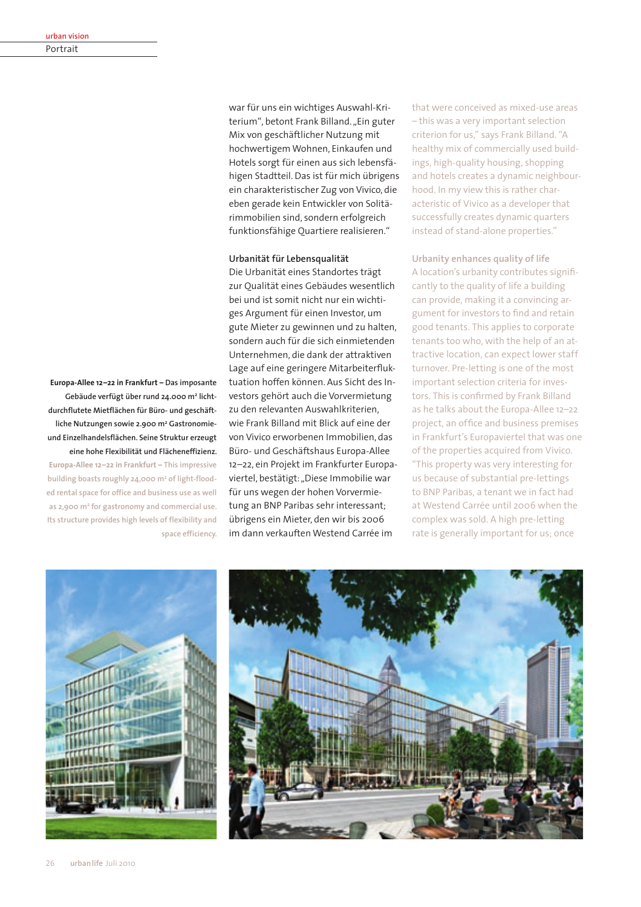Europa-Allee 12-22 in Frankfurt - Das imposante Gebäude verfügt über rund 24.000 m<sup>2</sup> lichtdurchflutete Mietflächen für Büro- und geschäftliche Nutzungen sowie 2.900 m<sup>2</sup> Gastronomieund Einzelhandelsflächen. Seine Struktur erzeugt eine hohe Flexibilität und Flächeneffizienz. Europa-Allee 12-22 in Frankfurt - This impressive building boasts roughly 24,000 m<sup>2</sup> of light-flooded rental space for office and business use as well as 2.900 m<sup>2</sup> for gastronomy and commercial use. Its structure provides high levels of flexibility and

space efficiency.

war für uns ein wichtiges Auswahl-Kriterium", betont Frank Billand. "Ein guter Mix von geschäftlicher Nutzung mit hochwertigem Wohnen. Einkaufen und Hotels sorgt für einen aus sich lebensfähigen Stadtteil. Das ist für mich übrigens ein charakteristischer Zug von Vivico, die eben gerade kein Entwickler von Solitärimmobilien sind, sondern erfolgreich funktionsfähige Ouartiere realisieren."

#### Urbanität für Lebensqualität

Die Urbanität eines Standortes trägt zur Qualität eines Gebäudes wesentlich bei und ist somit nicht nur ein wichtiges Argument für einen Investor, um gute Mieter zu gewinnen und zu halten. sondern auch für die sich einmietenden Unternehmen, die dank der attraktiven Lage auf eine geringere Mitarbeiterfluktuation hoffen können. Aus Sicht des Investors gehört auch die Vorvermietung zu den relevanten Auswahlkriterien. wie Frank Billand mit Blick auf eine der von Vivico erworbenen Immobilien, das Büro- und Geschäftshaus Europa-Allee 12-22, ein Projekt im Frankfurter Europaviertel, bestätigt: "Diese Immobilie war für uns wegen der hohen Vorvermietung an BNP Paribas sehr interessant: übrigens ein Mieter, den wir bis 2006 im dann verkauften Westend Carrée im

that were conceived as mixed-use areas - this was a very important selection criterion for us," says Frank Billand. "A healthy mix of commercially used buildings, high-quality housing, shopping and hotels creates a dynamic neighbourhood. In my view this is rather characteristic of Vivico as a developer that successfully creates dynamic quarters instead of stand-alone properties."

Urbanity enhances quality of life A location's urbanity contributes significantly to the quality of life a building can provide, making it a convincing argument for investors to find and retain good tenants. This applies to corporate tenants too who, with the help of an attractive location, can expect lower staff turnover. Pre-letting is one of the most important selection criteria for investors. This is confirmed by Frank Billand as he talks about the Europa-Allee 12-22 project, an office and business premises in Frankfurt's Europaviertel that was one of the properties acquired from Vivico. "This property was very interesting for us because of substantial pre-lettings to BNP Paribas, a tenant we in fact had at Westend Carrée until 2006 when the complex was sold. A high pre-letting rate is generally important for us; once



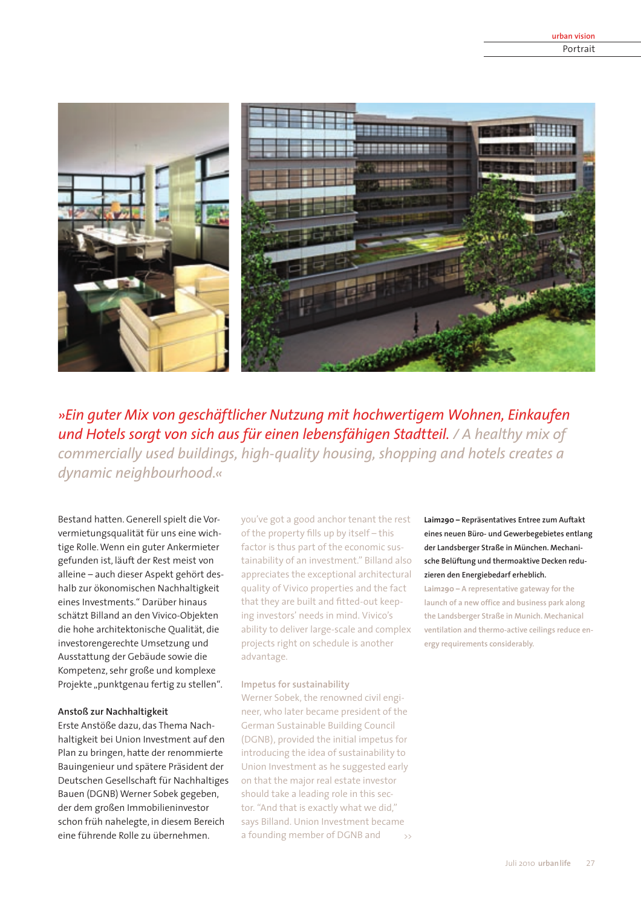

»Ein guter Mix von geschäftlicher Nutzung mit hochwertigem Wohnen, Einkaufen und Hotels sorgt von sich aus für einen lebensfähigen Stadtteil. / A healthy mix of commercially used buildings, high-quality housing, shopping and hotels creates a dynamic neighbourhood.«

Bestand hatten. Generell spielt die Vorvermietungsqualität für uns eine wichtige Rolle. Wenn ein guter Ankermieter gefunden ist, läuft der Rest meist von alleine – auch dieser Aspekt gehört deshalb zur ökonomischen Nachhaltigkeit eines Investments." Darüber hinaus schätzt Billand an den Vivico-Objekten die hohe architektonische Qualität, die investorengerechte Umsetzung und Ausstattung der Gebäude sowie die Kompetenz, sehr große und komplexe Projekte "punktgenau fertig zu stellen".

### Anstoß zur Nachhaltigkeit

Erste Anstöße dazu, das Thema Nachhaltigkeit bei Union Investment auf den Plan zu bringen, hatte der renommierte Bauingenieur und spätere Präsident der Deutschen Gesellschaft für Nachhaltiges Bauen (DGNB) Werner Sobek gegeben, der dem großen Immobilieninvestor schon früh nahelegte, in diesem Bereich eine führende Rolle zu übernehmen.

you've got a good anchor tenant the rest of the property fills up by itself - this factor is thus part of the economic sustainability of an investment." Billand also appreciates the exceptional architectural quality of Vivico properties and the fact that they are built and fitted-out keeping investors' needs in mind. Vivico's ability to deliver large-scale and complex projects right on schedule is another advantage.

#### Impetus for sustainability

Werner Sobek, the renowned civil engineer, who later became president of the German Sustainable Building Council (DGNB), provided the initial impetus for introducing the idea of sustainability to Union Investment as he suggested early on that the major real estate investor should take a leading role in this sector. "And that is exactly what we did," says Billand. Union Investment became a founding member of DGNB and  $\rightarrow$ 

Laim290 - Repräsentatives Entree zum Auftakt eines neuen Büro- und Gewerbegebietes entlang der Landsberger Straße in München. Mechanische Belüftung und thermoaktive Decken reduzieren den Energiebedarf erheblich.

Laim290 - A representative gateway for the launch of a new office and business park along the Landsberger Straße in Munich. Mechanical ventilation and thermo-active ceilings reduce energy requirements considerably.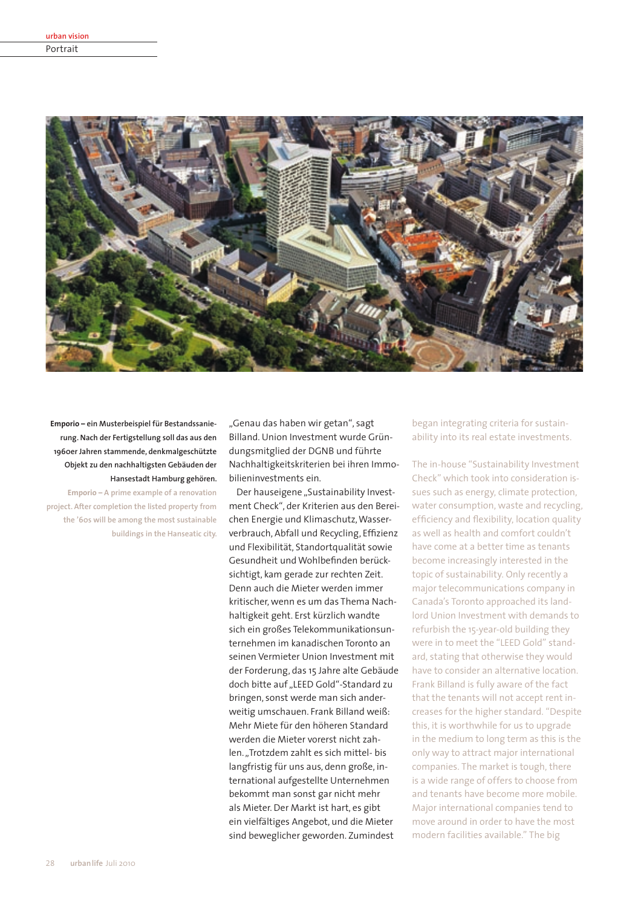| urban vision |  |
|--------------|--|
| Portrait     |  |



Emporio – ein Musterbeispiel für Bestandssanierung. Nach der Fertigstellung soll das aus den 1960er Jahren stammende, denkmalgeschützte Objekt zu den nachhaltigsten Gebäuden der Hansestadt Hamburg gehören.

Emporio - A prime example of a renovation project. After completion the listed property from the '60s will be among the most sustainable buildings in the Hanseatic city.

"Genau das haben wir getan", sagt Billand. Union Investment wurde Gründungsmitglied der DGNB und führte Nachhaltigkeitskriterien bei ihren Immobilieninvestments ein.

Der hauseigene "Sustainability Investment Check", der Kriterien aus den Bereichen Energie und Klimaschutz. Wasserverbrauch, Abfall und Recycling, Effizienz und Flexibilität. Standortqualität sowie Gesundheit und Wohlbefinden berücksichtigt, kam gerade zur rechten Zeit. Denn auch die Mieter werden immer kritischer, wenn es um das Thema Nachhaltigkeit geht. Erst kürzlich wandte sich ein großes Telekommunikationsunternehmen im kanadischen Toronto an seinen Vermieter Union Investment mit der Forderung, das 15 Jahre alte Gebäude doch bitte auf "LEED Gold"-Standard zu bringen, sonst werde man sich anderweitig umschauen. Frank Billand weiß: Mehr Miete für den höheren Standard werden die Mieter vorerst nicht zahlen. "Trotzdem zahlt es sich mittel- bis langfristig für uns aus, denn große, international aufgestellte Unternehmen bekommt man sonst gar nicht mehr als Mieter. Der Markt ist hart, es gibt ein vielfältiges Angebot, und die Mieter sind beweglicher geworden. Zumindest

began integrating criteria for sustainability into its real estate investments.

The in-house "Sustainability Investment Check" which took into consideration issues such as energy, climate protection. water consumption, waste and recycling. efficiency and flexibility, location quality as well as health and comfort couldn't have come at a better time as tenants become increasingly interested in the topic of sustainability. Only recently a major telecommunications company in Canada's Toronto approached its landlord Union Investment with demands to refurbish the 15-year-old building they were in to meet the "LEED Gold" standard, stating that otherwise they would have to consider an alternative location. Frank Billand is fully aware of the fact that the tenants will not accept rent increases for the higher standard. "Despite this, it is worthwhile for us to upgrade in the medium to long term as this is the only way to attract major international companies. The market is tough, there is a wide range of offers to choose from and tenants have become more mobile. Major international companies tend to move around in order to have the most modern facilities available." The big